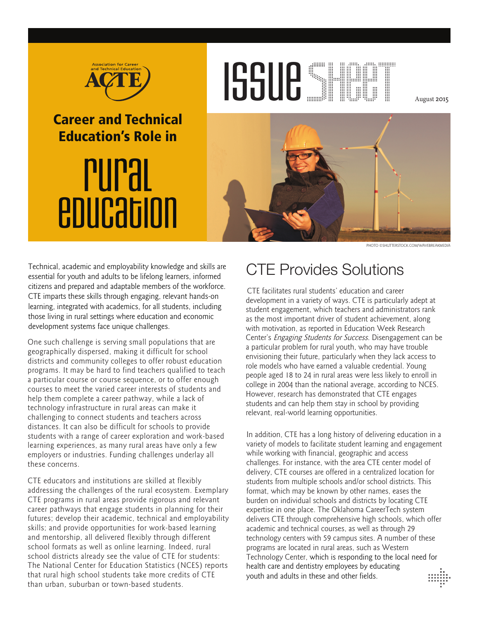

## Career and Technical Education's Role in Rural education

## ISSUE AUGUST August 2015



PHOTO ©SHUTTERSTOCK.COM/WAVEBREAKMEDIA

Technical, academic and employability knowledge and skills are essential for youth and adults to be lifelong learners, informed citizens and prepared and adaptable members of the workforce. CTE imparts these skills through engaging, relevant hands-on learning, integrated with academics, for all students, including those living in rural settings where education and economic development systems face unique challenges.

One such challenge is serving small populations that are geographically dispersed, making it difficult for school districts and community colleges to offer robust education programs. It may be hard to find teachers qualified to teach a particular course or course sequence, or to offer enough courses to meet the varied career interests of students and help them complete a career pathway, while a lack of technology infrastructure in rural areas can make it challenging to connect students and teachers across distances. It can also be difficult for schools to provide students with a range of career exploration and work-based learning experiences, as many rural areas have only a few employers or industries. Funding challenges underlay all these concerns.

CTE educators and institutions are skilled at flexibly addressing the challenges of the rural ecosystem. Exemplary CTE programs in rural areas provide rigorous and relevant career pathways that engage students in planning for their futures; develop their academic, technical and employability skills; and provide opportunities for work-based learning and mentorship, all delivered flexibly through different school formats as well as online learning. Indeed, rural school districts already see the value of CTE for students: The National Center for Education Statistics (NCES) reports that rural high school students take more credits of CTE than urban, suburban or town-based students.

## CTE Provides Solutions

CTE facilitates rural students' education and career development in a variety of ways. CTE is particularly adept at student engagement, which teachers and administrators rank as the most important driver of student achievement, along with motivation, as reported in Education Week Research Center's Engaging Students for Success. Disengagement can be a particular problem for rural youth, who may have trouble envisioning their future, particularly when they lack access to role models who have earned a valuable credential. Young people aged 18 to 24 in rural areas were less likely to enroll in college in 2004 than the national average, according to NCES. However, research has demonstrated that CTE engages students and can help them stay in school by providing relevant, real-world learning opportunities.

In addition, CTE has a long history of delivering education in a variety of models to facilitate student learning and engagement while working with financial, geographic and access challenges. For instance, with the area CTE center model of delivery, CTE courses are offered in a centralized location for students from multiple schools and/or school districts. This format, which may be known by other names, eases the burden on individual schools and districts by locating CTE expertise in one place. The Oklahoma CareerTech system delivers CTE through comprehensive high schools, which offer academic and technical courses, as well as through 29 technology centers with 59 campus sites. A number of these programs are located in rural areas, such as Western Technology Center, which is responding to the local need for health care and dentistry employees by educating youth and adults in these and other fields.